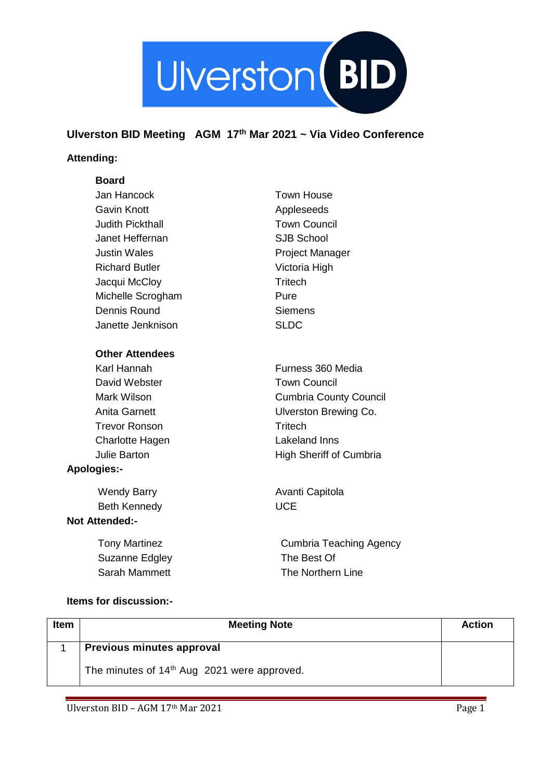

## **Ulverston BID Meeting AGM 17th Mar 2021 ~ Via Video Conference**

## **Attending:**

## **Board**

| Jan Hancock             | <b>Town House</b>              |
|-------------------------|--------------------------------|
| Gavin Knott             | Appleseeds                     |
| <b>Judith Pickthall</b> | <b>Town Council</b>            |
| Janet Heffernan         | <b>SJB School</b>              |
| <b>Justin Wales</b>     | <b>Project Manager</b>         |
| <b>Richard Butler</b>   | Victoria High                  |
| Jacqui McCloy           | Tritech                        |
| Michelle Scrogham       | Pure                           |
| Dennis Round            | <b>Siemens</b>                 |
| Janette Jenknison       | <b>SLDC</b>                    |
| <b>Other Attendees</b>  |                                |
| Karl Hannah             | Furness 360 Media              |
| David Webster           | <b>Town Council</b>            |
| Mark Wilson             | <b>Cumbria County Council</b>  |
| <b>Anita Garnett</b>    | Ulverston Brewing Co.          |
| <b>Trevor Ronson</b>    | Tritech                        |
| <b>Charlotte Hagen</b>  | Lakeland Inns                  |
| <b>Julie Barton</b>     | <b>High Sheriff of Cumbria</b> |
| <b>Apologies:-</b>      |                                |
| Wendy Barry             | Avanti Capitola                |
| <b>Beth Kennedy</b>     | <b>UCE</b>                     |
| <b>Not Attended:-</b>   |                                |
|                         |                                |

Tony Martinez Suzanne Edgley Sarah Mammett

Cumbria Teaching Agency The Best Of The Northern Line

## **Items for discussion:-**

| <b>Item</b> | <b>Meeting Note</b>                                     | <b>Action</b> |
|-------------|---------------------------------------------------------|---------------|
|             | Previous minutes approval                               |               |
|             | The minutes of 14 <sup>th</sup> Aug 2021 were approved. |               |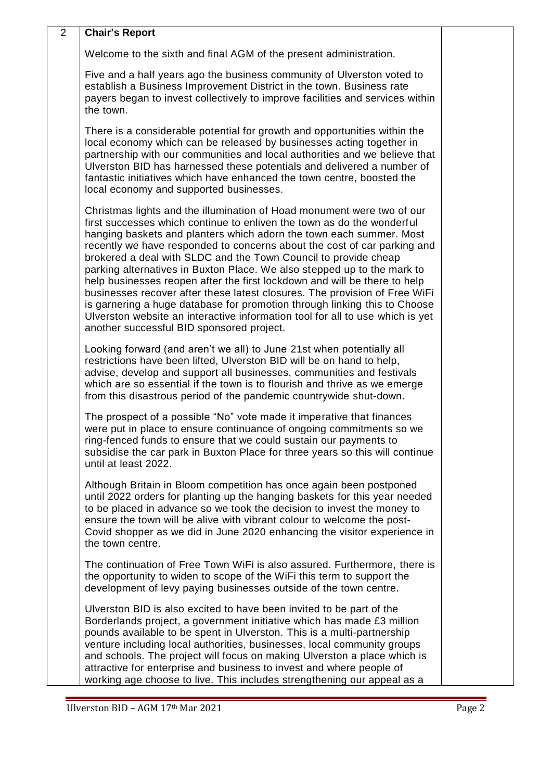| $\overline{2}$ | <b>Chair's Report</b>                                                                                                                                                                                                                                                                                                                                                                                                                                                                                                                                                                                                                                                                                                                                                                                                   |  |
|----------------|-------------------------------------------------------------------------------------------------------------------------------------------------------------------------------------------------------------------------------------------------------------------------------------------------------------------------------------------------------------------------------------------------------------------------------------------------------------------------------------------------------------------------------------------------------------------------------------------------------------------------------------------------------------------------------------------------------------------------------------------------------------------------------------------------------------------------|--|
|                | Welcome to the sixth and final AGM of the present administration.                                                                                                                                                                                                                                                                                                                                                                                                                                                                                                                                                                                                                                                                                                                                                       |  |
|                | Five and a half years ago the business community of Ulverston voted to<br>establish a Business Improvement District in the town. Business rate<br>payers began to invest collectively to improve facilities and services within<br>the town.                                                                                                                                                                                                                                                                                                                                                                                                                                                                                                                                                                            |  |
|                | There is a considerable potential for growth and opportunities within the<br>local economy which can be released by businesses acting together in<br>partnership with our communities and local authorities and we believe that<br>Ulverston BID has harnessed these potentials and delivered a number of<br>fantastic initiatives which have enhanced the town centre, boosted the<br>local economy and supported businesses.                                                                                                                                                                                                                                                                                                                                                                                          |  |
|                | Christmas lights and the illumination of Hoad monument were two of our<br>first successes which continue to enliven the town as do the wonderful<br>hanging baskets and planters which adorn the town each summer. Most<br>recently we have responded to concerns about the cost of car parking and<br>brokered a deal with SLDC and the Town Council to provide cheap<br>parking alternatives in Buxton Place. We also stepped up to the mark to<br>help businesses reopen after the first lockdown and will be there to help<br>businesses recover after these latest closures. The provision of Free WiFi<br>is garnering a huge database for promotion through linking this to Choose<br>Ulverston website an interactive information tool for all to use which is yet<br>another successful BID sponsored project. |  |
|                | Looking forward (and aren't we all) to June 21st when potentially all<br>restrictions have been lifted, Ulverston BID will be on hand to help,<br>advise, develop and support all businesses, communities and festivals<br>which are so essential if the town is to flourish and thrive as we emerge<br>from this disastrous period of the pandemic countrywide shut-down.                                                                                                                                                                                                                                                                                                                                                                                                                                              |  |
|                | The prospect of a possible "No" vote made it imperative that finances<br>were put in place to ensure continuance of ongoing commitments so we<br>ring-fenced funds to ensure that we could sustain our payments to<br>subsidise the car park in Buxton Place for three years so this will continue<br>until at least 2022.                                                                                                                                                                                                                                                                                                                                                                                                                                                                                              |  |
|                | Although Britain in Bloom competition has once again been postponed<br>until 2022 orders for planting up the hanging baskets for this year needed<br>to be placed in advance so we took the decision to invest the money to<br>ensure the town will be alive with vibrant colour to welcome the post-<br>Covid shopper as we did in June 2020 enhancing the visitor experience in<br>the town centre.                                                                                                                                                                                                                                                                                                                                                                                                                   |  |
|                | The continuation of Free Town WiFi is also assured. Furthermore, there is<br>the opportunity to widen to scope of the WiFi this term to support the<br>development of levy paying businesses outside of the town centre.                                                                                                                                                                                                                                                                                                                                                                                                                                                                                                                                                                                                |  |
|                | Ulverston BID is also excited to have been invited to be part of the<br>Borderlands project, a government initiative which has made £3 million<br>pounds available to be spent in Ulverston. This is a multi-partnership<br>venture including local authorities, businesses, local community groups<br>and schools. The project will focus on making Ulverston a place which is<br>attractive for enterprise and business to invest and where people of<br>working age choose to live. This includes strengthening our appeal as a                                                                                                                                                                                                                                                                                      |  |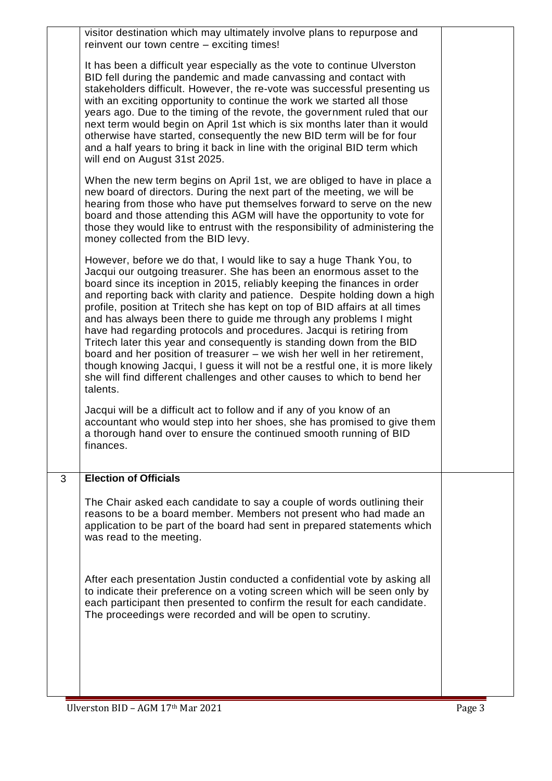|   | visitor destination which may ultimately involve plans to repurpose and<br>reinvent our town centre - exciting times!                                                                                                                                                                                                                                                                                                                                                                                                                                                                                                                                                                                                                                                                                                                                                 |  |
|---|-----------------------------------------------------------------------------------------------------------------------------------------------------------------------------------------------------------------------------------------------------------------------------------------------------------------------------------------------------------------------------------------------------------------------------------------------------------------------------------------------------------------------------------------------------------------------------------------------------------------------------------------------------------------------------------------------------------------------------------------------------------------------------------------------------------------------------------------------------------------------|--|
|   | It has been a difficult year especially as the vote to continue Ulverston<br>BID fell during the pandemic and made canvassing and contact with<br>stakeholders difficult. However, the re-vote was successful presenting us<br>with an exciting opportunity to continue the work we started all those<br>years ago. Due to the timing of the revote, the government ruled that our<br>next term would begin on April 1st which is six months later than it would<br>otherwise have started, consequently the new BID term will be for four<br>and a half years to bring it back in line with the original BID term which<br>will end on August 31st 2025.                                                                                                                                                                                                             |  |
|   | When the new term begins on April 1st, we are obliged to have in place a<br>new board of directors. During the next part of the meeting, we will be<br>hearing from those who have put themselves forward to serve on the new<br>board and those attending this AGM will have the opportunity to vote for<br>those they would like to entrust with the responsibility of administering the<br>money collected from the BID levy.                                                                                                                                                                                                                                                                                                                                                                                                                                      |  |
|   | However, before we do that, I would like to say a huge Thank You, to<br>Jacqui our outgoing treasurer. She has been an enormous asset to the<br>board since its inception in 2015, reliably keeping the finances in order<br>and reporting back with clarity and patience. Despite holding down a high<br>profile, position at Tritech she has kept on top of BID affairs at all times<br>and has always been there to guide me through any problems I might<br>have had regarding protocols and procedures. Jacqui is retiring from<br>Tritech later this year and consequently is standing down from the BID<br>board and her position of treasurer – we wish her well in her retirement,<br>though knowing Jacqui, I guess it will not be a restful one, it is more likely<br>she will find different challenges and other causes to which to bend her<br>talents. |  |
|   | Jacqui will be a difficult act to follow and if any of you know of an<br>accountant who would step into her shoes, she has promised to give them<br>a thorough hand over to ensure the continued smooth running of BID<br>finances.                                                                                                                                                                                                                                                                                                                                                                                                                                                                                                                                                                                                                                   |  |
| 3 | <b>Election of Officials</b>                                                                                                                                                                                                                                                                                                                                                                                                                                                                                                                                                                                                                                                                                                                                                                                                                                          |  |
|   | The Chair asked each candidate to say a couple of words outlining their<br>reasons to be a board member. Members not present who had made an<br>application to be part of the board had sent in prepared statements which<br>was read to the meeting.                                                                                                                                                                                                                                                                                                                                                                                                                                                                                                                                                                                                                 |  |
|   | After each presentation Justin conducted a confidential vote by asking all<br>to indicate their preference on a voting screen which will be seen only by<br>each participant then presented to confirm the result for each candidate.<br>The proceedings were recorded and will be open to scrutiny.                                                                                                                                                                                                                                                                                                                                                                                                                                                                                                                                                                  |  |
|   |                                                                                                                                                                                                                                                                                                                                                                                                                                                                                                                                                                                                                                                                                                                                                                                                                                                                       |  |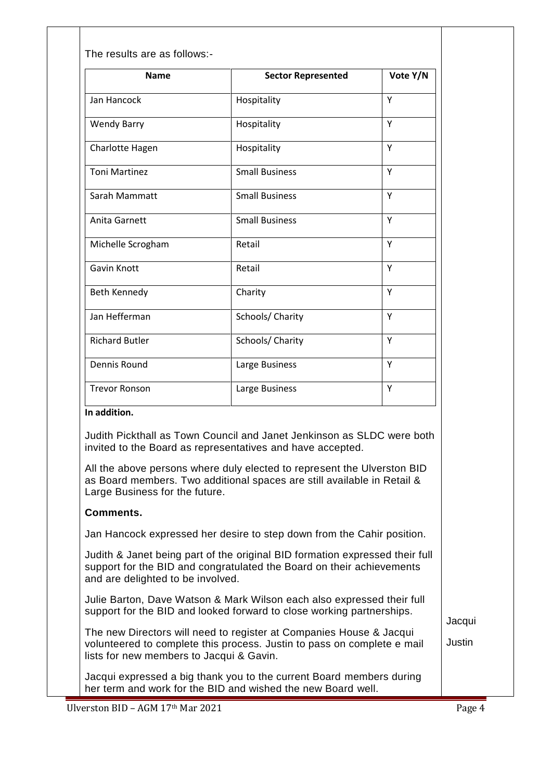| <b>Name</b>                                                                                                                                                                                | <b>Sector Represented</b>                                                                                                                                                                                                                                                                  | Vote Y/N |
|--------------------------------------------------------------------------------------------------------------------------------------------------------------------------------------------|--------------------------------------------------------------------------------------------------------------------------------------------------------------------------------------------------------------------------------------------------------------------------------------------|----------|
| Jan Hancock                                                                                                                                                                                | Hospitality                                                                                                                                                                                                                                                                                | Y        |
| <b>Wendy Barry</b>                                                                                                                                                                         | Hospitality                                                                                                                                                                                                                                                                                | Y        |
| Charlotte Hagen                                                                                                                                                                            | Hospitality                                                                                                                                                                                                                                                                                | Y        |
| <b>Toni Martinez</b>                                                                                                                                                                       | <b>Small Business</b>                                                                                                                                                                                                                                                                      | Y        |
| Sarah Mammatt                                                                                                                                                                              | <b>Small Business</b>                                                                                                                                                                                                                                                                      | Y        |
| Anita Garnett                                                                                                                                                                              | <b>Small Business</b>                                                                                                                                                                                                                                                                      | Y        |
| Michelle Scrogham                                                                                                                                                                          | Retail                                                                                                                                                                                                                                                                                     | Y        |
| Gavin Knott                                                                                                                                                                                | Retail                                                                                                                                                                                                                                                                                     | Y        |
| Beth Kennedy                                                                                                                                                                               | Charity                                                                                                                                                                                                                                                                                    | Y        |
| Jan Hefferman                                                                                                                                                                              | Schools/ Charity                                                                                                                                                                                                                                                                           | Y        |
| <b>Richard Butler</b>                                                                                                                                                                      | Schools/ Charity                                                                                                                                                                                                                                                                           | Y        |
| Dennis Round                                                                                                                                                                               | Large Business                                                                                                                                                                                                                                                                             | Y        |
| <b>Trevor Ronson</b>                                                                                                                                                                       | Large Business                                                                                                                                                                                                                                                                             | Y        |
| In addition.<br>Large Business for the future.                                                                                                                                             | Judith Pickthall as Town Council and Janet Jenkinson as SLDC were both<br>invited to the Board as representatives and have accepted.<br>All the above persons where duly elected to represent the Ulverston BID<br>as Board members. Two additional spaces are still available in Retail & |          |
| <b>Comments.</b>                                                                                                                                                                           |                                                                                                                                                                                                                                                                                            |          |
|                                                                                                                                                                                            | Jan Hancock expressed her desire to step down from the Cahir position.                                                                                                                                                                                                                     |          |
| and are delighted to be involved.                                                                                                                                                          | Judith & Janet being part of the original BID formation expressed their full<br>support for the BID and congratulated the Board on their achievements                                                                                                                                      |          |
| Julie Barton, Dave Watson & Mark Wilson each also expressed their full<br>support for the BID and looked forward to close working partnerships.                                            |                                                                                                                                                                                                                                                                                            |          |
| The new Directors will need to register at Companies House & Jacqui<br>volunteered to complete this process. Justin to pass on complete e mail<br>lists for new members to Jacqui & Gavin. |                                                                                                                                                                                                                                                                                            |          |
|                                                                                                                                                                                            | Jacqui expressed a big thank you to the current Board members during<br>her term and work for the BID and wished the new Board well.                                                                                                                                                       |          |